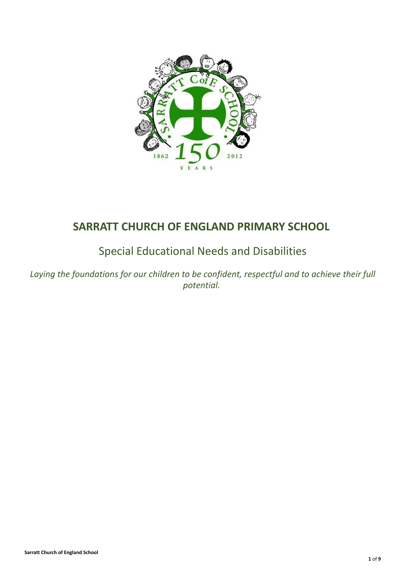

# **SARRATT CHURCH OF ENGLAND PRIMARY SCHOOL**

# Special Educational Needs and Disabilities

*Laying the foundations for our children to be confident, respectful and to achieve their full potential.*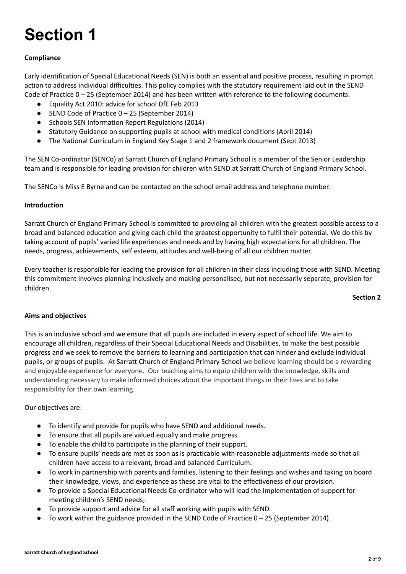# **Section 1**

# **Compliance**

Early identification of Special Educational Needs (SEN) is both an essential and positive process, resulting in prompt action to address individual difficulties. This policy complies with the statutory requirement laid out in the SEND Code of Practice 0 – 25 (September 2014) and has been written with reference to the following documents:

- Equality Act 2010: advice for school DfE Feb 2013
- SEND Code of Practice 0 25 (September 2014)
- Schools SEN Information Report Regulations (2014)
- Statutory Guidance on supporting pupils at school with medical conditions (April 2014)
- The National Curriculum in England Key Stage 1 and 2 framework document (Sept 2013)

The SEN Co-ordinator (SENCo) at Sarratt Church of England Primary School is a member of the Senior Leadership team and is responsible for leading provision for children with SEND at Sarratt Church of England Primary School.

**T**he SENCo is Miss E Byrne and can be contacted on the school email address and telephone number.

# **Introduction**

Sarratt Church of England Primary School is committed to providing all children with the greatest possible access to a broad and balanced education and giving each child the greatest opportunity to fulfil their potential. We do this by taking account of pupils' varied life experiences and needs and by having high expectations for all children. The needs, progress, achievements, self esteem, attitudes and well-being of all our children matter.

Every teacher is responsible for leading the provision for all children in their class including those with SEND. Meeting this commitment involves planning inclusively and making personalised, but not necessarily separate, provision for children.

#### **Section 2**

#### **Aims and objectives**

This is an inclusive school and we ensure that all pupils are included in every aspect of school life. We aim to encourage all children, regardless of their Special Educational Needs and Disabilities, to make the best possible progress and we seek to remove the barriers to learning and participation that can hinder and exclude individual pupils, or groups of pupils. At Sarratt Church of England Primary School we believe learning should be a rewarding and enjoyable experience for everyone. Our teaching aims to equip children with the knowledge, skills and understanding necessary to make informed choices about the important things in their lives and to take responsibility for their own learning.

#### Our objectives are:

- To identify and provide for pupils who have SEND and additional needs.
- To ensure that all pupils are valued equally and make progress.
- To enable the child to participate in the planning of their support.
- To ensure pupils' needs are met as soon as is practicable with reasonable adjustments made so that all children have access to a relevant, broad and balanced Curriculum.
- To work in partnership with parents and families, listening to their feelings and wishes and taking on board their knowledge, views, and experience as these are vital to the effectiveness of our provision.
- To provide a Special Educational Needs Co-ordinator who will lead the implementation of support for meeting children's SEND needs;
- To provide support and advice for all staff working with pupils with SEND.
- To work within the guidance provided in the SEND Code of Practice  $0 25$  (September 2014).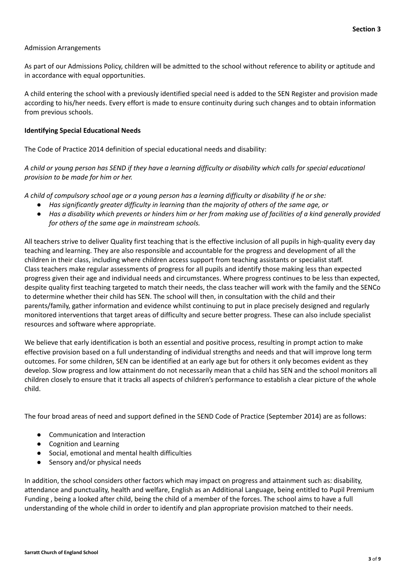#### Admission Arrangements

As part of our Admissions Policy, children will be admitted to the school without reference to ability or aptitude and in accordance with equal opportunities.

A child entering the school with a previously identified special need is added to the SEN Register and provision made according to his/her needs. Every effort is made to ensure continuity during such changes and to obtain information from previous schools.

#### **Identifying Special Educational Needs**

The Code of Practice 2014 definition of special educational needs and disability:

A child or young person has SEND if they have a learning difficulty or disability which calls for special educational *provision to be made for him or her.*

A child of compulsory school age or a young person has a learning difficulty or disability if he or she:

- *Has significantly greater difficulty in learning than the majority of others of the same age, or*
- Has a disability which prevents or hinders him or her from making use of facilities of a kind generally provided *for others of the same age in mainstream schools.*

All teachers strive to deliver Quality first teaching that is the effective inclusion of all pupils in high-quality every day teaching and learning. They are also responsible and accountable for the progress and development of all the children in their class, including where children access support from teaching assistants or specialist staff. Class teachers make regular assessments of progress for all pupils and identify those making less than expected progress given their age and individual needs and circumstances. Where progress continues to be less than expected, despite quality first teaching targeted to match their needs, the class teacher will work with the family and the SENCo to determine whether their child has SEN. The school will then, in consultation with the child and their parents/family, gather information and evidence whilst continuing to put in place precisely designed and regularly monitored interventions that target areas of difficulty and secure better progress. These can also include specialist resources and software where appropriate.

We believe that early identification is both an essential and positive process, resulting in prompt action to make effective provision based on a full understanding of individual strengths and needs and that will improve long term outcomes. For some children, SEN can be identified at an early age but for others it only becomes evident as they develop. Slow progress and low attainment do not necessarily mean that a child has SEN and the school monitors all children closely to ensure that it tracks all aspects of children's performance to establish a clear picture of the whole child.

The four broad areas of need and support defined in the SEND Code of Practice (September 2014) are as follows:

- Communication and Interaction
- Cognition and Learning
- Social, emotional and mental health difficulties
- Sensory and/or physical needs

In addition, the school considers other factors which may impact on progress and attainment such as: disability, attendance and punctuality, health and welfare, English as an Additional Language, being entitled to Pupil Premium Funding , being a looked after child, being the child of a member of the forces. The school aims to have a full understanding of the whole child in order to identify and plan appropriate provision matched to their needs.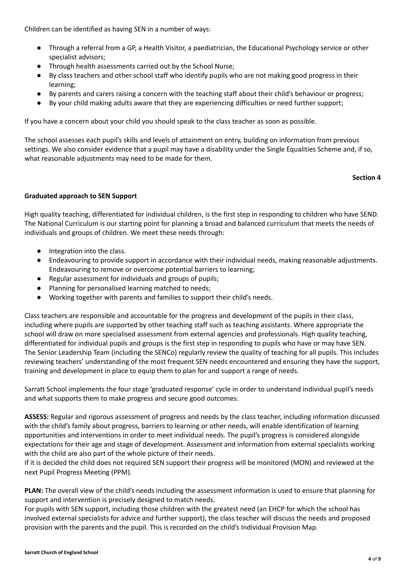Children can be identified as having SEN in a number of ways:

- Through a referral from a GP, a Health Visitor, a paediatrician, the Educational Psychology service or other specialist advisors;
- Through health assessments carried out by the School Nurse;
- By class teachers and other school staff who identify pupils who are not making good progress in their learning;
- By parents and carers raising a concern with the teaching staff about their child's behaviour or progress;
- By your child making adults aware that they are experiencing difficulties or need further support;

If you have a concern about your child you should speak to the class teacher as soon as possible.

The school assesses each pupil's skills and levels of attainment on entry, building on information from previous settings. We also consider evidence that a pupil may have a disability under the Single Equalities Scheme and, if so, what reasonable adjustments may need to be made for them.

#### **Section 4**

# **Graduated approach to SEN Support**

High quality teaching, differentiated for individual children, is the first step in responding to children who have SEND. The National Curriculum is our starting point for planning a broad and balanced curriculum that meets the needs of individuals and groups of children. We meet these needs through:

- Integration into the class.
- Endeavouring to provide support in accordance with their individual needs, making reasonable adjustments. Endeavouring to remove or overcome potential barriers to learning;
- Regular assessment for individuals and groups of pupils;
- Planning for personalised learning matched to needs;
- Working together with parents and families to support their child's needs.

Class teachers are responsible and accountable for the progress and development of the pupils in their class, including where pupils are supported by other teaching staff such as teaching assistants. Where appropriate the school will draw on more specialised assessment from external agencies and professionals. High quality teaching, differentiated for individual pupils and groups is the first step in responding to pupils who have or may have SEN. The Senior Leadership Team (including the SENCo) regularly review the quality of teaching for all pupils. This includes reviewing teachers' understanding of the most frequent SEN needs encountered and ensuring they have the support, training and development in place to equip them to plan for and support a range of needs.

Sarratt School implements the four stage 'graduated response' cycle in order to understand individual pupil's needs and what supports them to make progress and secure good outcomes:

**ASSESS:** Regular and rigorous assessment of progress and needs by the class teacher, including information discussed with the child's family about progress, barriers to learning or other needs, will enable identification of learning opportunities and interventions in order to meet individual needs. The pupil's progress is considered alongside expectations for their age and stage of development. Assessment and information from external specialists working with the child are also part of the whole picture of their needs.

If it is decided the child does not required SEN support their progress will be monitored (MON) and reviewed at the next Pupil Progress Meeting (PPM).

**PLAN:** The overall view of the child's needs including the assessment information is used to ensure that planning for support and intervention is precisely designed to match needs.

For pupils with SEN support, including those children with the greatest need (an EHCP for which the school has involved external specialists for advice and further support), the class teacher will discuss the needs and proposed provision with the parents and the pupil. This is recorded on the child's Individual Provision Map.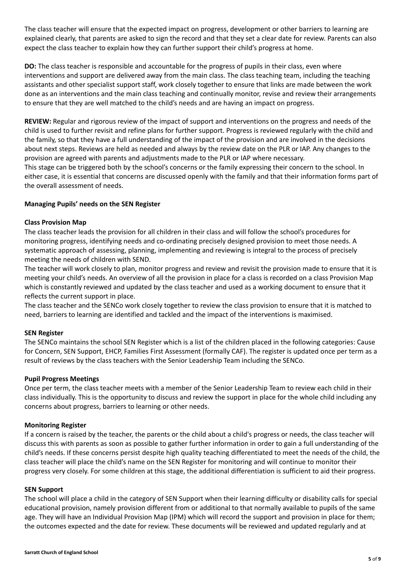The class teacher will ensure that the expected impact on progress, development or other barriers to learning are explained clearly, that parents are asked to sign the record and that they set a clear date for review. Parents can also expect the class teacher to explain how they can further support their child's progress at home.

**DO:** The class teacher is responsible and accountable for the progress of pupils in their class, even where interventions and support are delivered away from the main class. The class teaching team, including the teaching assistants and other specialist support staff, work closely together to ensure that links are made between the work done as an interventions and the main class teaching and continually monitor, revise and review their arrangements to ensure that they are well matched to the child's needs and are having an impact on progress.

**REVIEW:** Regular and rigorous review of the impact of support and interventions on the progress and needs of the child is used to further revisit and refine plans for further support. Progress is reviewed regularly with the child and the family, so that they have a full understanding of the impact of the provision and are involved in the decisions about next steps. Reviews are held as needed and always by the review date on the PLR or IAP. Any changes to the provision are agreed with parents and adjustments made to the PLR or IAP where necessary.

This stage can be triggered both by the school's concerns or the family expressing their concern to the school. In either case, it is essential that concerns are discussed openly with the family and that their information forms part of the overall assessment of needs.

# **Managing Pupils' needs on the SEN Register**

#### **Class Provision Map**

The class teacher leads the provision for all children in their class and will follow the school's procedures for monitoring progress, identifying needs and co-ordinating precisely designed provision to meet those needs. A systematic approach of assessing, planning, implementing and reviewing is integral to the process of precisely meeting the needs of children with SEND.

The teacher will work closely to plan, monitor progress and review and revisit the provision made to ensure that it is meeting your child's needs. An overview of all the provision in place for a class is recorded on a class Provision Map which is constantly reviewed and updated by the class teacher and used as a working document to ensure that it reflects the current support in place.

The class teacher and the SENCo work closely together to review the class provision to ensure that it is matched to need, barriers to learning are identified and tackled and the impact of the interventions is maximised.

#### **SEN Register**

The SENCo maintains the school SEN Register which is a list of the children placed in the following categories: Cause for Concern, SEN Support, EHCP, Families First Assessment (formally CAF). The register is updated once per term as a result of reviews by the class teachers with the Senior Leadership Team including the SENCo.

#### **Pupil Progress Meetings**

Once per term, the class teacher meets with a member of the Senior Leadership Team to review each child in their class individually. This is the opportunity to discuss and review the support in place for the whole child including any concerns about progress, barriers to learning or other needs.

#### **Monitoring Register**

If a concern is raised by the teacher, the parents or the child about a child's progress or needs, the class teacher will discuss this with parents as soon as possible to gather further information in order to gain a full understanding of the child's needs. If these concerns persist despite high quality teaching differentiated to meet the needs of the child, the class teacher will place the child's name on the SEN Register for monitoring and will continue to monitor their progress very closely. For some children at this stage, the additional differentiation is sufficient to aid their progress.

#### **SEN Support**

The school will place a child in the category of SEN Support when their learning difficulty or disability calls for special educational provision, namely provision different from or additional to that normally available to pupils of the same age. They will have an Individual Provision Map (IPM) which will record the support and provision in place for them; the outcomes expected and the date for review. These documents will be reviewed and updated regularly and at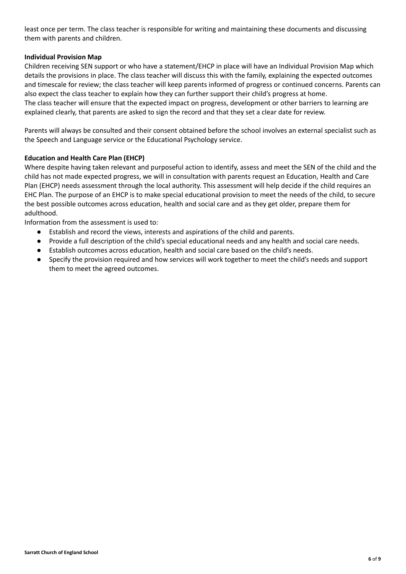least once per term. The class teacher is responsible for writing and maintaining these documents and discussing them with parents and children.

# **Individual Provision Map**

Children receiving SEN support or who have a statement/EHCP in place will have an Individual Provision Map which details the provisions in place. The class teacher will discuss this with the family, explaining the expected outcomes and timescale for review; the class teacher will keep parents informed of progress or continued concerns. Parents can also expect the class teacher to explain how they can further support their child's progress at home. The class teacher will ensure that the expected impact on progress, development or other barriers to learning are explained clearly, that parents are asked to sign the record and that they set a clear date for review.

Parents will always be consulted and their consent obtained before the school involves an external specialist such as the Speech and Language service or the Educational Psychology service.

# **Education and Health Care Plan (EHCP)**

Where despite having taken relevant and purposeful action to identify, assess and meet the SEN of the child and the child has not made expected progress, we will in consultation with parents request an Education, Health and Care Plan (EHCP) needs assessment through the local authority. This assessment will help decide if the child requires an EHC Plan. The purpose of an EHCP is to make special educational provision to meet the needs of the child, to secure the best possible outcomes across education, health and social care and as they get older, prepare them for adulthood.

Information from the assessment is used to:

- Establish and record the views, interests and aspirations of the child and parents.
- Provide a full description of the child's special educational needs and any health and social care needs.
- Establish outcomes across education, health and social care based on the child's needs.
- Specify the provision required and how services will work together to meet the child's needs and support them to meet the agreed outcomes.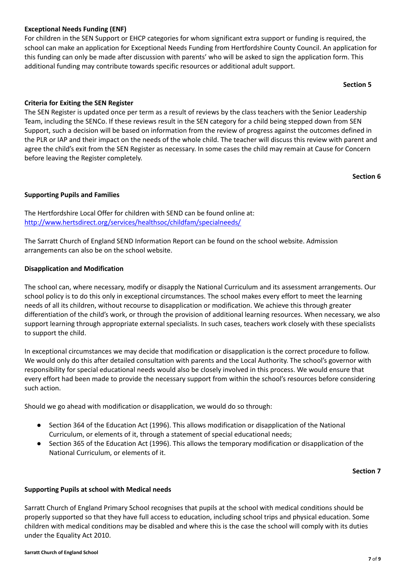# **Exceptional Needs Funding (ENF)**

For children in the SEN Support or EHCP categories for whom significant extra support or funding is required, the school can make an application for Exceptional Needs Funding from Hertfordshire County Council. An application for this funding can only be made after discussion with parents' who will be asked to sign the application form. This additional funding may contribute towards specific resources or additional adult support.

**Section 5**

#### **Criteria for Exiting the SEN Register**

The SEN Register is updated once per term as a result of reviews by the class teachers with the Senior Leadership Team, including the SENCo. If these reviews result in the SEN category for a child being stepped down from SEN Support, such a decision will be based on information from the review of progress against the outcomes defined in the PLR or IAP and their impact on the needs of the whole child. The teacher will discuss this review with parent and agree the child's exit from the SEN Register as necessary. In some cases the child may remain at Cause for Concern before leaving the Register completely.

**Section 6**

# **Supporting Pupils and Families**

The Hertfordshire Local Offer for children with SEND can be found online at: <http://www.hertsdirect.org/services/healthsoc/childfam/specialneeds/>

The Sarratt Church of England SEND Information Report can be found on the school website. Admission arrangements can also be on the school website.

#### **Disapplication and Modification**

The school can, where necessary, modify or disapply the National Curriculum and its assessment arrangements. Our school policy is to do this only in exceptional circumstances. The school makes every effort to meet the learning needs of all its children, without recourse to disapplication or modification. We achieve this through greater differentiation of the child's work, or through the provision of additional learning resources. When necessary, we also support learning through appropriate external specialists. In such cases, teachers work closely with these specialists to support the child.

In exceptional circumstances we may decide that modification or disapplication is the correct procedure to follow. We would only do this after detailed consultation with parents and the Local Authority. The school's governor with responsibility for special educational needs would also be closely involved in this process. We would ensure that every effort had been made to provide the necessary support from within the school's resources before considering such action.

Should we go ahead with modification or disapplication, we would do so through:

- Section 364 of the Education Act (1996). This allows modification or disapplication of the National Curriculum, or elements of it, through a statement of special educational needs;
- Section 365 of the Education Act (1996). This allows the temporary modification or disapplication of the National Curriculum, or elements of it.

#### **Section 7**

#### **Supporting Pupils at school with Medical needs**

Sarratt Church of England Primary School recognises that pupils at the school with medical conditions should be properly supported so that they have full access to education, including school trips and physical education. Some children with medical conditions may be disabled and where this is the case the school will comply with its duties under the Equality Act 2010.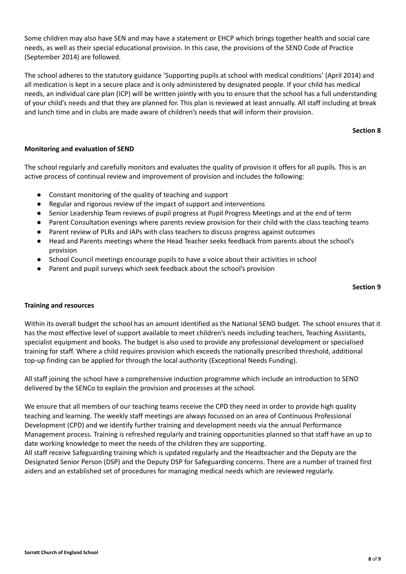Some children may also have SEN and may have a statement or EHCP which brings together health and social care needs, as well as their special educational provision. In this case, the provisions of the SEND Code of Practice (September 2014) are followed.

The school adheres to the statutory guidance 'Supporting pupils at school with medical conditions' (April 2014) and all medication is kept in a secure place and is only administered by designated people. If your child has medical needs, an individual care plan (ICP) will be written jointly with you to ensure that the school has a full understanding of your child's needs and that they are planned for. This plan is reviewed at least annually. All staff including at break and lunch time and in clubs are made aware of children's needs that will inform their provision.

#### **Section 8**

# **Monitoring and evaluation of SEND**

The school regularly and carefully monitors and evaluates the quality of provision it offers for all pupils. This is an active process of continual review and improvement of provision and includes the following:

- Constant monitoring of the quality of teaching and support
- Regular and rigorous review of the impact of support and interventions
- Senior Leadership Team reviews of pupil progress at Pupil Progress Meetings and at the end of term
- Parent Consultation evenings where parents review provision for their child with the class teaching teams
- Parent review of PLRs and IAPs with class teachers to discuss progress against outcomes
- Head and Parents meetings where the Head Teacher seeks feedback from parents about the school's provision
- School Council meetings encourage pupils to have a voice about their activities in school
- **●** Parent and pupil surveys which seek feedback about the school's provision

#### **Section 9**

#### **Training and resources**

Within its overall budget the school has an amount identified as the National SEND budget. The school ensures that it has the most effective level of support available to meet children's needs including teachers, Teaching Assistants, specialist equipment and books. The budget is also used to provide any professional development or specialised training for staff. Where a child requires provision which exceeds the nationally prescribed threshold, additional top-up finding can be applied for through the local authority (Exceptional Needs Funding).

All staff joining the school have a comprehensive induction programme which include an introduction to SEND delivered by the SENCo to explain the provision and processes at the school.

We ensure that all members of our teaching teams receive the CPD they need in order to provide high quality teaching and learning. The weekly staff meetings are always focussed on an area of Continuous Professional Development (CPD) and we identify further training and development needs via the annual Performance Management process. Training is refreshed regularly and training opportunities planned so that staff have an up to date working knowledge to meet the needs of the children they are supporting.

All staff receive Safeguarding training which is updated regularly and the Headteacher and the Deputy are the Designated Senior Person (DSP) and the Deputy DSP for Safeguarding concerns. There are a number of trained first aiders and an established set of procedures for managing medical needs which are reviewed regularly.